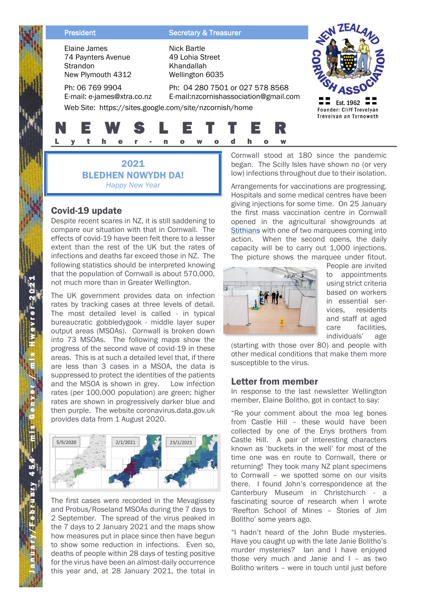Elaine James 74 Paynters Avenue **Strandon** New Plymouth 4312

#### Ph: 06 769 9904 E-mail: e-james@xtra.co.nz

**President Secretary & Treasurer** 

Nick Bartle 49 Lohia Street Khandallah Wellington 6035

# Ph: 04 280 7501 or 027 578 8568



E-mail:nzcornishassociation@gmail.com Web Site: https://sites.google.com/site/nzcornish/home

## N E W S L E T T E R L y t h e r - n o w o d h o w

2021 BLEDHEN NOWYDH DA! *Happy New Year*

### Covid-19 update

Despite recent scares in NZ, it is still saddening to compare our situation with that in Cornwall. The effects of covid-19 have been felt there to a lesser extent than the rest of the UK but the rates of infections and deaths far exceed those in NZ. The following statistics should be interpreted knowing that the population of Cornwall is about 570,000, not much more than in Greater Wellington.

The UK government provides data on infection rates by tracking cases at three levels of detail. The most detailed level is called - in typical bureaucratic gobbledygook - middle layer super output areas (MSOAs). Cornwall is broken down into 73 MSOAs. The following maps show the progress of the second wave of covid-19 in these areas. This is at such a detailed level that, if there are less than 3 cases in a MSOA, the data is suppressed to protect the identities of the patients and the MSOA is shown in grey. Low infection rates (per 100,000 population) are green; higher rates are shown in progressively darker blue and then purple. The website coronavirus.data.gov.uk provides data from 1 August 2020.



The first cases were recorded in the Mevagissey and Probus/Roseland MSOAs during the 7 days to 2 September. The spread of the virus peaked in the 7 days to 2 January 2021 and the maps show how measures put in place since then have begun to show some reduction in infections. Even so, deaths of people within 28 days of testing positive for the virus have been an almost-daily occurrence this year and, at 28 January 2021, the total in Cornwall stood at 180 since the pandemic began. The Scilly Isles have shown no (or very low) infections throughout due to their isolation.

Arrangements for vaccinations are progressing. Hospitals and some medical centres have been giving injections for some time. On 25 January the first mass vaccination centre in Cornwall opened in the agricultural showgrounds at Stithians with one of two marquees coming into action. When the second opens, the daily capacity will be to carry out 1,000 injections. The picture shows the marquee under fitout.



People are invited to appointments using strict criteria based on workers in essential services, residents and staff at aged care facilities, individuals' age

(starting with those over 80) and people with other medical conditions that make them more susceptible to the virus.

#### Letter from member

In response to the last newsletter Wellington member, Elaine Bolitho, got in contact to say:

"Re your comment about the moa leg bones from Castle Hill – these would have been collected by one of the Enys brothers from Castle Hill. A pair of interesting characters known as 'buckets in the well' for most of the time one was en route to Cornwall, there or returning! They took many NZ plant specimens to Cornwall – we spotted some on our visits there. I found John's correspondence at the Canterbury Museum in Christchurch - a fascinating source of research when I wrote 'Reefton School of Mines – Stories of Jim Bolitho' some years ago.

"I hadn't heard of the John Bude mysteries. Have you caught up with the late Janie Bolitho's murder mysteries? Ian and I have enjoyed those very much and Janie and I – as two Bolitho writers – were in touch until just before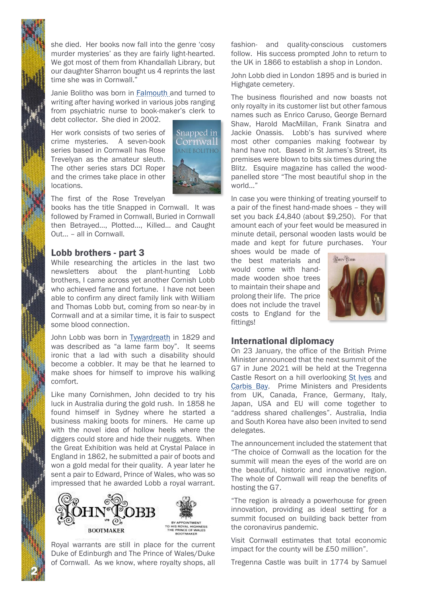she died. Her books now fall into the genre 'cosy murder mysteries' as they are fairly light-hearted. We got most of them from Khandallah Library, but our daughter Sharron bought us 4 reprints the last time she was in Cornwall."

Janie Bolitho was born in Falmouth and turned to writing after having worked in various jobs ranging from psychiatric nurse to book-maker's clerk to debt collector. She died in 2002.

Her work consists of two series of crime mysteries. A seven-book series based in Cornwall has Rose Trevelyan as the amateur sleuth. The other series stars DCI Roper and the crimes take place in other locations.



The first of the Rose Trevelyan

books has the title Snapped in Cornwall. It was followed by Framed in Cornwall, Buried in Cornwall then Betrayed…, Plotted…, Killed… and Caught Out… – all in Cornwall.

#### Lobb brothers - part 3

While researching the articles in the last two newsletters about the plant-hunting Lobb brothers, I came across yet another Cornish Lobb who achieved fame and fortune. I have not been able to confirm any direct family link with William and Thomas Lobb but, coming from so near-by in Cornwall and at a similar time, it is fair to suspect some blood connection.

John Lobb was born in Tywardreath in 1829 and was described as "a lame farm boy". It seems ironic that a lad with such a disability should become a cobbler. It may be that he learned to make shoes for himself to improve his walking comfort.

Like many Cornishmen, John decided to try his luck in Australia during the gold rush. In 1858 he found himself in Sydney where he started a business making boots for miners. He came up with the novel idea of hollow heels where the diggers could store and hide their nuggets. When the Great Exhibition was held at Crystal Palace in England in 1862, he submitted a pair of boots and won a gold medal for their quality. A year later he sent a pair to Edward, Prince of Wales, who was so impressed that he awarded Lobb a royal warrant.



Royal warrants are still in place for the current Duke of Edinburgh and The Prince of Wales/Duke of Cornwall. As we know, where royalty shops, all

2

fashion- and quality-conscious customers follow. His success prompted John to return to the UK in 1866 to establish a shop in London.

John Lobb died in London 1895 and is buried in Highgate cemetery.

The business flourished and now boasts not only royalty in its customer list but other famous names such as Enrico Caruso, George Bernard Shaw, Harold MacMillan, Frank Sinatra and Jackie Onassis. Lobb's has survived where most other companies making footwear by hand have not. Based in St James's Street, its premises were blown to bits six times during the Blitz. Esquire magazine has called the woodpanelled store "The most beautiful shop in the world…"

In case you were thinking of treating yourself to a pair of the finest hand-made shoes – they will set you back £4,840 (about \$9,250). For that amount each of your feet would be measured in minute detail, personal wooden lasts would be made and kept for future purchases. Your

shoes would be made of the best materials and would come with handmade wooden shoe trees to maintain their shape and prolong their life. The price does not include the travel costs to England for the fittings!



#### International diplomacy

On 23 January, the office of the British Prime Minister announced that the next summit of the G7 in June 2021 will be held at the Tregenna Castle Resort on a hill overlooking St Ives and Carbis Bay. Prime Ministers and Presidents from UK, Canada, France, Germany, Italy, Japan, USA and EU will come together to "address shared challenges". Australia, India and South Korea have also been invited to send delegates.

The announcement included the statement that "The choice of Cornwall as the location for the summit will mean the eyes of the world are on the beautiful, historic and innovative region. The whole of Cornwall will reap the benefits of hosting the G7.

"The region is already a powerhouse for green innovation, providing as ideal setting for a summit focused on building back better from the coronavirus pandemic.

Visit Cornwall estimates that total economic impact for the county will be £50 million".

Tregenna Castle was built in 1774 by Samuel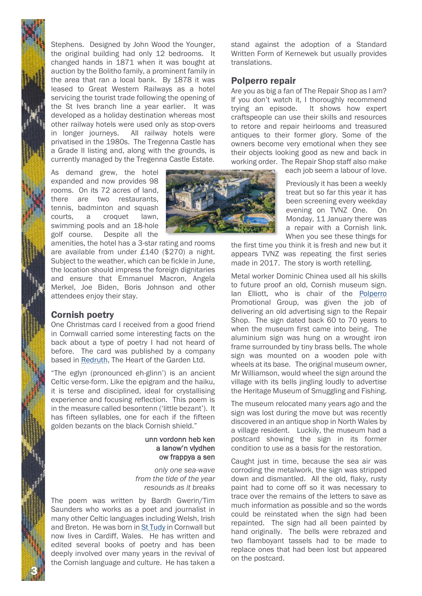Stephens. Designed by John Wood the Younger, the original building had only 12 bedrooms. It changed hands in 1871 when it was bought at auction by the Bolitho family, a prominent family in the area that ran a local bank. By 1878 it was leased to Great Western Railways as a hotel servicing the tourist trade following the opening of the St Ives branch line a year earlier. It was developed as a holiday destination whereas most other railway hotels were used only as stop-overs in longer journeys. All railway hotels were privatised in the 1980s. The Tregenna Castle has a Grade II listing and, along with the grounds, is currently managed by the Tregenna Castle Estate.

As demand grew, the hotel expanded and now provides 98 rooms. On its 72 acres of land, there are two restaurants, tennis, badminton and squash courts, a croquet lawn, swimming pools and an 18-hole golf course. Despite all the

amenities, the hotel has a 3-star rating and rooms are available from under £140 (\$270) a night. Subject to the weather, which can be fickle in June, the location should impress the foreign dignitaries and ensure that Emmanuel Macron, Angela Merkel, Joe Biden, Boris Johnson and other attendees enjoy their stay.

#### Cornish poetry

3

One Christmas card I received from a good friend in Cornwall carried some interesting facts on the back about a type of poetry I had not heard of before. The card was published by a company based in Redruth, The Heart of the Garden Ltd.

"The eglyn (pronounced eh-glinn') is an ancient Celtic verse-form. Like the epigram and the haiku, it is terse and disciplined, ideal for crystallising experience and focusing reflection. This poem is in the measure called besontenn ('little bezant'). It has fifteen syllables, one for each if the fifteen golden bezants on the black Cornish shield."

#### unn vordonn heb ken a lanow'n vlydhen ow frappya a sen

*only one sea-wave from the tide of the year resounds as it breaks*

The poem was written by Bardh Gwerin/Tim Saunders who works as a poet and journalist in many other Celtic languages including Welsh, Irish and Breton. He was born in St Tudy in Cornwall but now lives in Cardiff, Wales. He has written and edited several books of poetry and has been deeply involved over many years in the revival of the Cornish language and culture. He has taken a stand against the adoption of a Standard Written Form of Kernewek but usually provides translations.

#### Polperro repair

Are you as big a fan of The Repair Shop as I am? If you don't watch it, I thoroughly recommend trying an episode. It shows how expert craftspeople can use their skills and resources to retore and repair heirlooms and treasured antiques to their former glory. Some of the owners become very emotional when they see their objects looking good as new and back in working order. The Repair Shop staff also make

each job seem a labour of love.

Previously it has been a weekly treat but so far this year it has been screening every weekday evening on TVNZ One. On Monday, 11 January there was a repair with a Cornish link. When you see these things for

the first time you think it is fresh and new but it appears TVNZ was repeating the first series made in 2017. The story is worth retelling.

Metal worker Dominic Chinea used all his skills to future proof an old, Cornish museum sign. Ian Elliott, who is chair of the Polperro Promotional Group, was given the job of delivering an old advertising sign to the Repair Shop. The sign dated back 60 to 70 years to when the museum first came into being. The aluminium sign was hung on a wrought iron frame surrounded by tiny brass bells. The whole sign was mounted on a wooden pole with wheels at its base. The original museum owner, Mr Williamson, would wheel the sign around the village with its bells jingling loudly to advertise the Heritage Museum of Smuggling and Fishing.

The museum relocated many years ago and the sign was lost during the move but was recently discovered in an antique shop in North Wales by a village resident. Luckily, the museum had a postcard showing the sign in its former condition to use as a basis for the restoration.

Caught just in time, because the sea air was corroding the metalwork, the sign was stripped down and dismantled. All the old, flaky, rusty paint had to come off so it was necessary to trace over the remains of the letters to save as much information as possible and so the words could be reinstated when the sign had been repainted. The sign had all been painted by hand originally. The bells were rebrazed and two flamboyant tassels had to be made to replace ones that had been lost but appeared on the postcard.